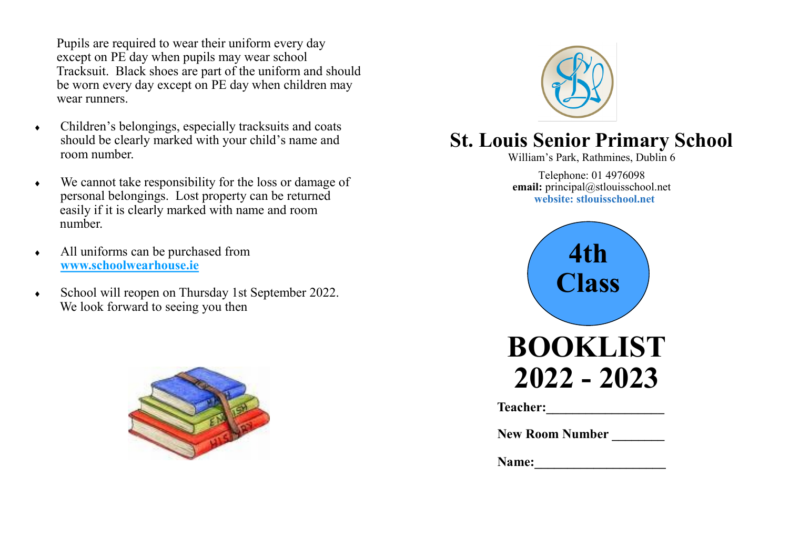Pupils are required to wear their uniform every day except on PE day when pupils may wear school Tracksuit. Black shoes are part of the uniform and should be worn every day except on PE day when children may wear runners.

- Children's belongings, especially tracksuits and coats should be clearly marked with your child's name and room number.
- We cannot take responsibility for the loss or damage of personal belongings. Lost property can be returned easily if it is clearly marked with name and room number.
- All uniforms can be purchased from **www.schoolwearhouse.ie**
- School will reopen on Thursday 1st September 2022. We look forward to seeing you then





## **St. Louis Senior Primary School**

William's Park, Rathmines, Dublin 6

Telephone: 01 4976098 **email:** principal@stlouisschool.net **website: stlouisschool.net**



Teacher:

 **New Room Number \_\_\_\_\_\_\_\_**

Name: